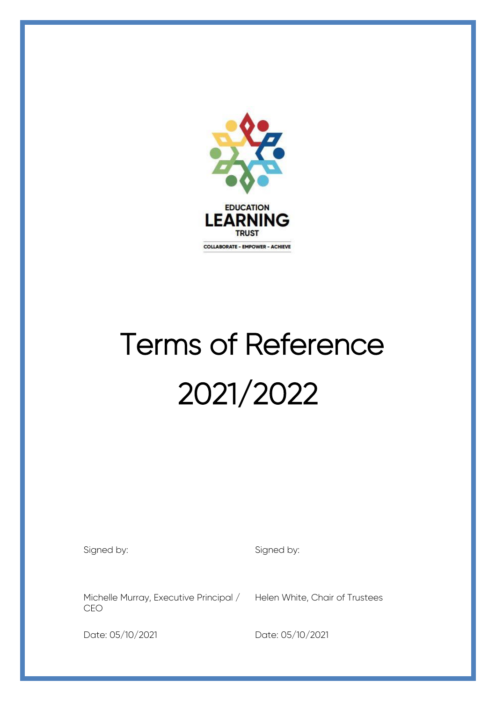

# Terms of Reference 2021/2022

Signed by: Signed by:

Michelle Murray, Executive Principal / CEO

Helen White, Chair of Trustees

I

Date: 05/10/2021 Date: 05/10/2021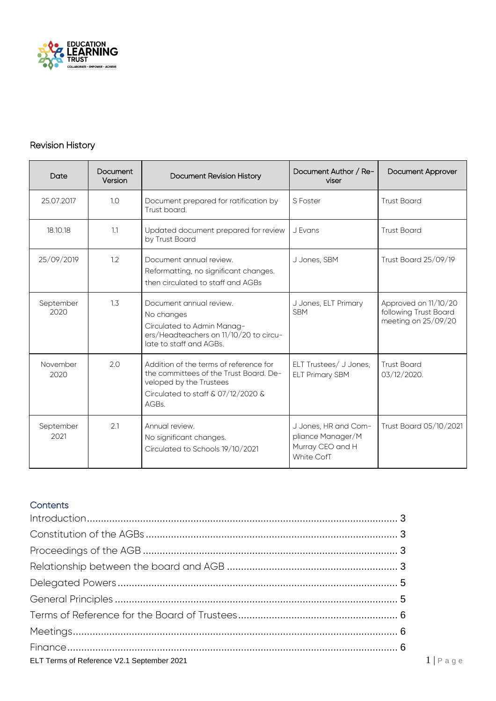

## Revision History

| Date              | Document<br>Version | Document Revision History                                                                                                                                  | Document Author / Re-<br>viser                                                     | <b>Document Approver</b>                                             |
|-------------------|---------------------|------------------------------------------------------------------------------------------------------------------------------------------------------------|------------------------------------------------------------------------------------|----------------------------------------------------------------------|
| 25.07.2017        | 1.0                 | Document prepared for ratification by<br>Trust board.                                                                                                      | S Foster                                                                           | <b>Trust Board</b>                                                   |
| 18.10.18          | 1.1                 | Updated document prepared for review<br>by Trust Board                                                                                                     | J Evans                                                                            | <b>Trust Board</b>                                                   |
| 25/09/2019        | 1.2                 | Document annual review.<br>Reformatting, no significant changes.<br>then circulated to staff and AGBs                                                      | J Jones, SBM                                                                       | <b>Trust Board 25/09/19</b>                                          |
| September<br>2020 | 1.3                 | Document annual review.<br>No changes<br>Circulated to Admin Manag-<br>ers/Headteachers on 11/10/20 to circu-<br>late to staff and AGBs.                   | J Jones, ELT Primary<br><b>SBM</b>                                                 | Approved on 11/10/20<br>following Trust Board<br>meeting on 25/09/20 |
| November<br>2020  | 2.0                 | Addition of the terms of reference for<br>the committees of the Trust Board. De-<br>veloped by the Trustees<br>Circulated to staff & 07/12/2020 &<br>AGBs. | ELT Trustees/ J Jones,<br><b>ELT Primary SBM</b>                                   | <b>Trust Board</b><br>03/12/2020.                                    |
| September<br>2021 | 2.1                 | Annual review.<br>No significant changes.<br>Circulated to Schools 19/10/2021                                                                              | J Jones, HR and Com-<br>pliance Manager/M<br>Murray CEO and H<br><b>White CofT</b> | Trust Board 05/10/2021                                               |

## **Contents**

| ELT Terms of Reference V2.1 September 2021 | $1   P \text{age}$ |
|--------------------------------------------|--------------------|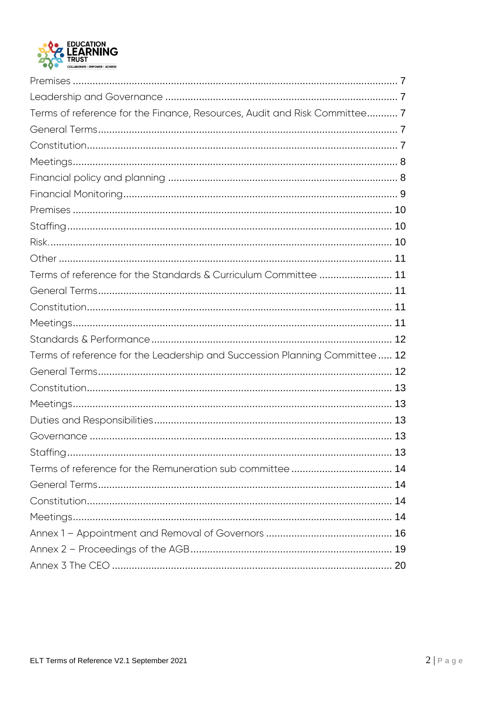

| Terms of reference for the Finance, Resources, Audit and Risk Committee 7  |  |
|----------------------------------------------------------------------------|--|
|                                                                            |  |
|                                                                            |  |
|                                                                            |  |
|                                                                            |  |
|                                                                            |  |
|                                                                            |  |
|                                                                            |  |
|                                                                            |  |
|                                                                            |  |
| Terms of reference for the Standards & Curriculum Committee  11            |  |
|                                                                            |  |
|                                                                            |  |
|                                                                            |  |
|                                                                            |  |
| Terms of reference for the Leadership and Succession Planning Committee 12 |  |
|                                                                            |  |
|                                                                            |  |
|                                                                            |  |
|                                                                            |  |
|                                                                            |  |
|                                                                            |  |
|                                                                            |  |
|                                                                            |  |
|                                                                            |  |
|                                                                            |  |
|                                                                            |  |
|                                                                            |  |
|                                                                            |  |
|                                                                            |  |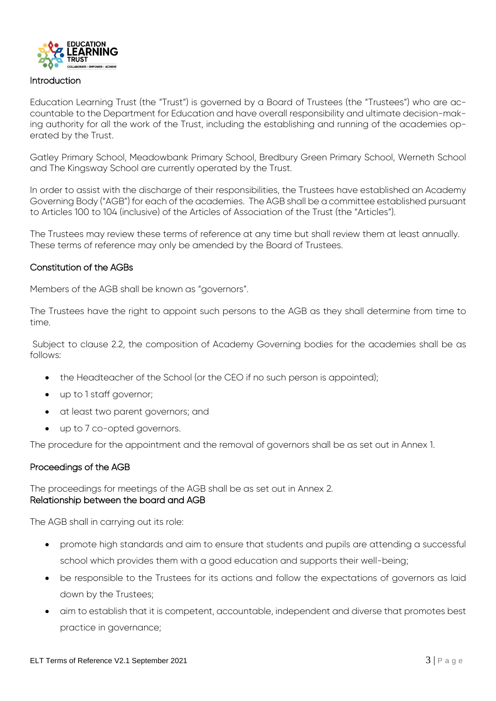

#### Introduction

Education Learning Trust (the "Trust") is governed by a Board of Trustees (the "Trustees") who are accountable to the Department for Education and have overall responsibility and ultimate decision-making authority for all the work of the Trust, including the establishing and running of the academies operated by the Trust.

Gatley Primary School, Meadowbank Primary School, Bredbury Green Primary School, Werneth School and The Kingsway School are currently operated by the Trust.

In order to assist with the discharge of their responsibilities, the Trustees have established an Academy Governing Body ("AGB") for each of the academies. The AGB shall be a committee established pursuant to Articles 100 to 104 (inclusive) of the Articles of Association of the Trust (the "Articles").

The Trustees may review these terms of reference at any time but shall review them at least annually. These terms of reference may only be amended by the Board of Trustees.

#### Constitution of the AGBs

Members of the AGB shall be known as "governors".

The Trustees have the right to appoint such persons to the AGB as they shall determine from time to time.

Subject to clause 2.2, the composition of Academy Governing bodies for the academies shall be as follows:

- the Headteacher of the School (or the CEO if no such person is appointed);
- up to 1 staff governor;
- at least two parent governors; and
- up to 7 co-opted governors.

The procedure for the appointment and the removal of governors shall be as set out in Annex 1.

#### Proceedings of the AGB

The proceedings for meetings of the AGB shall be as set out in Annex 2. Relationship between the board and AGB

The AGB shall in carrying out its role:

- promote high standards and aim to ensure that students and pupils are attending a successful school which provides them with a good education and supports their well-being;
- be responsible to the Trustees for its actions and follow the expectations of governors as laid down by the Trustees;
- aim to establish that it is competent, accountable, independent and diverse that promotes best practice in governance;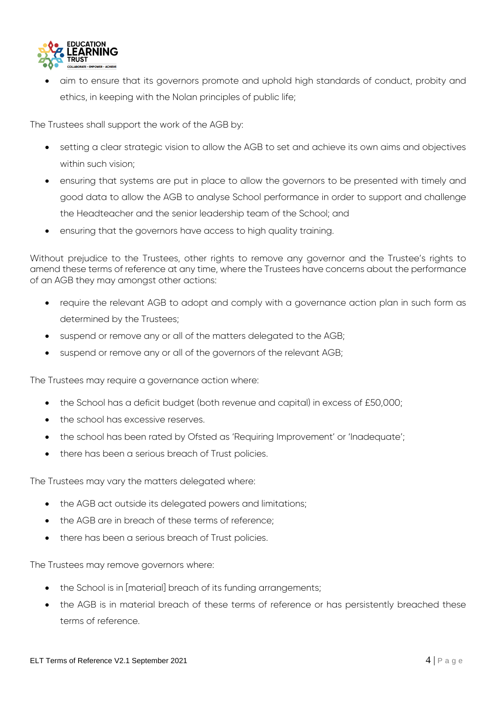

 aim to ensure that its governors promote and uphold high standards of conduct, probity and ethics, in keeping with the Nolan principles of public life;

The Trustees shall support the work of the AGB by:

- setting a clear strategic vision to allow the AGB to set and achieve its own aims and objectives within such vision;
- ensuring that systems are put in place to allow the governors to be presented with timely and good data to allow the AGB to analyse School performance in order to support and challenge the Headteacher and the senior leadership team of the School; and
- ensuring that the governors have access to high quality training.

Without prejudice to the Trustees, other rights to remove any governor and the Trustee's rights to amend these terms of reference at any time, where the Trustees have concerns about the performance of an AGB they may amongst other actions:

- require the relevant AGB to adopt and comply with a governance action plan in such form as determined by the Trustees;
- suspend or remove any or all of the matters delegated to the AGB;
- suspend or remove any or all of the governors of the relevant AGB;

The Trustees may require a governance action where:

- the School has a deficit budget (both revenue and capital) in excess of £50,000;
- the school has excessive reserves.
- the school has been rated by Ofsted as 'Requiring Improvement' or 'Inadequate';
- there has been a serious breach of Trust policies.

The Trustees may vary the matters delegated where:

- the AGB act outside its delegated powers and limitations;
- the AGB are in breach of these terms of reference;
- there has been a serious breach of Trust policies.

The Trustees may remove governors where:

- the School is in [material] breach of its funding arrangements;
- the AGB is in material breach of these terms of reference or has persistently breached these terms of reference.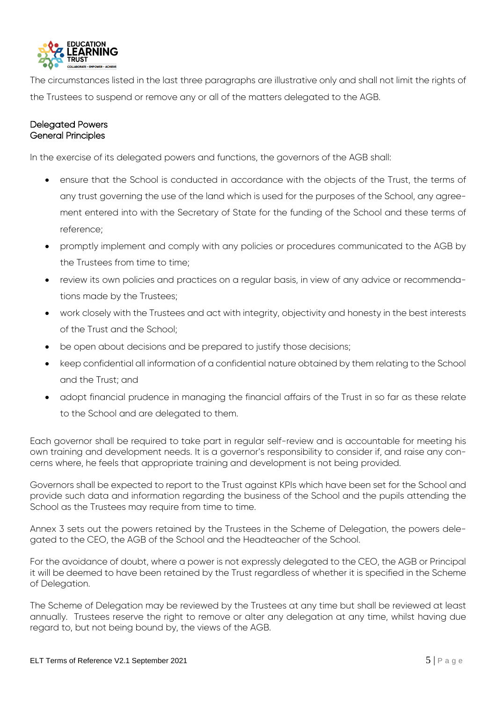

The circumstances listed in the last three paragraphs are illustrative only and shall not limit the rights of the Trustees to suspend or remove any or all of the matters delegated to the AGB.

## Delegated Powers General Principles

In the exercise of its delegated powers and functions, the governors of the AGB shall:

- ensure that the School is conducted in accordance with the objects of the Trust, the terms of any trust governing the use of the land which is used for the purposes of the School, any agreement entered into with the Secretary of State for the funding of the School and these terms of reference;
- promptly implement and comply with any policies or procedures communicated to the AGB by the Trustees from time to time;
- review its own policies and practices on a regular basis, in view of any advice or recommendations made by the Trustees;
- work closely with the Trustees and act with integrity, objectivity and honesty in the best interests of the Trust and the School;
- be open about decisions and be prepared to justify those decisions;
- keep confidential all information of a confidential nature obtained by them relating to the School and the Trust; and
- adopt financial prudence in managing the financial affairs of the Trust in so far as these relate to the School and are delegated to them.

Each governor shall be required to take part in regular self-review and is accountable for meeting his own training and development needs. It is a governor's responsibility to consider if, and raise any concerns where, he feels that appropriate training and development is not being provided.

Governors shall be expected to report to the Trust against KPIs which have been set for the School and provide such data and information regarding the business of the School and the pupils attending the School as the Trustees may require from time to time.

Annex 3 sets out the powers retained by the Trustees in the Scheme of Delegation, the powers delegated to the CEO, the AGB of the School and the Headteacher of the School.

For the avoidance of doubt, where a power is not expressly delegated to the CEO, the AGB or Principal it will be deemed to have been retained by the Trust regardless of whether it is specified in the Scheme of Delegation.

The Scheme of Delegation may be reviewed by the Trustees at any time but shall be reviewed at least annually. Trustees reserve the right to remove or alter any delegation at any time, whilst having due regard to, but not being bound by, the views of the AGB.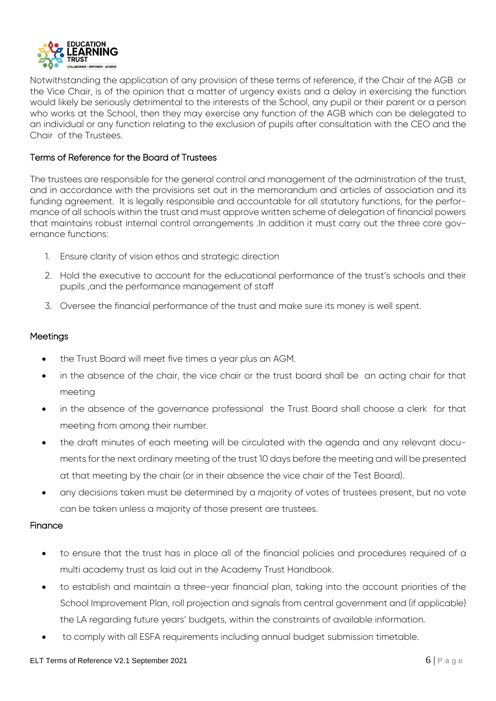

Notwithstanding the application of any provision of these terms of reference, if the Chair of the AGB or the Vice Chair, is of the opinion that a matter of urgency exists and a delay in exercising the function would likely be seriously detrimental to the interests of the School, any pupil or their parent or a person who works at the School, then they may exercise any function of the AGB which can be delegated to an individual or any function relating to the exclusion of pupils after consultation with the CEO and the Chair of the Trustees.

## Terms of Reference for the Board of Trustees

The trustees are responsible for the general control and management of the administration of the trust, and in accordance with the provisions set out in the memorandum and articles of association and its funding agreement. It is legally responsible and accountable for all statutory functions, for the performance of all schools within the trust and must approve written scheme of delegation of financial powers that maintains robust internal control arrangements .In addition it must carry out the three core governance functions:

- 1. Ensure clarity of vision ethos and strategic direction
- 2. Hold the executive to account for the educational performance of the trust's schools and their pupils , and the performance management of staff
- 3. Oversee the financial performance of the trust and make sure its money is well spent.

## **Meetings**

- the Trust Board will meet five times a year plus an AGM.
- in the absence of the chair, the vice chair or the trust board shall be an acting chair for that meeting
- in the absence of the governance professional the Trust Board shall choose a clerk for that meeting from among their number.
- the draft minutes of each meeting will be circulated with the agenda and any relevant documents for the next ordinary meeting of the trust 10 days before the meeting and will be presented at that meeting by the chair (or in their absence the vice chair of the Test Board).
- any decisions taken must be determined by a majority of votes of trustees present, but no vote can be taken unless a majority of those present are trustees.

#### Finance

- to ensure that the trust has in place all of the financial policies and procedures required of a multi academy trust as laid out in the Academy Trust Handbook.
- to establish and maintain a three-year financial plan, taking into the account priorities of the School Improvement Plan, roll projection and signals from central government and (if applicable) the LA regarding future years' budgets, within the constraints of available information.
- to comply with all ESFA requirements including annual budget submission timetable.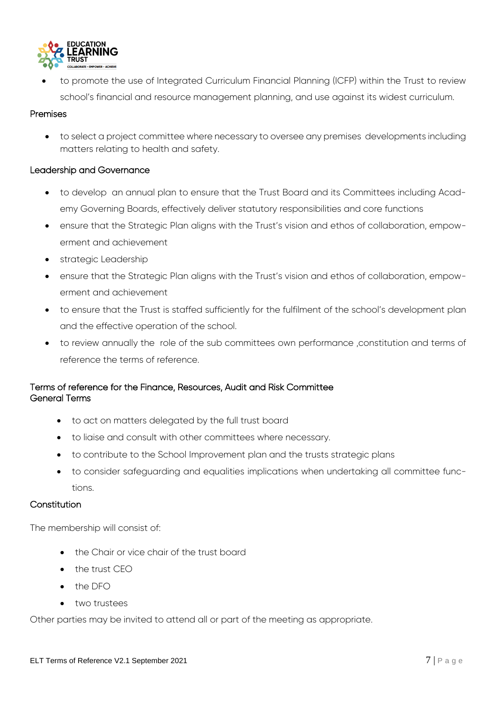

 to promote the use of Integrated Curriculum Financial Planning (ICFP) within the Trust to review school's financial and resource management planning, and use against its widest curriculum.

## Premises

 to select a project committee where necessary to oversee any premises developments including matters relating to health and safety.

## Leadership and Governance

- to develop an annual plan to ensure that the Trust Board and its Committees including Academy Governing Boards, effectively deliver statutory responsibilities and core functions
- ensure that the Strategic Plan aligns with the Trust's vision and ethos of collaboration, empowerment and achievement
- strategic Leadership
- ensure that the Strategic Plan aligns with the Trust's vision and ethos of collaboration, empowerment and achievement
- to ensure that the Trust is staffed sufficiently for the fulfilment of the school's development plan and the effective operation of the school.
- to review annually the role of the sub committees own performance ,constitution and terms of reference the terms of reference.

## Terms of reference for the Finance, Resources, Audit and Risk Committee General Terms

- to act on matters delegated by the full trust board
- to liaise and consult with other committees where necessary.
- to contribute to the School Improvement plan and the trusts strategic plans
- to consider safeguarding and equalities implications when undertaking all committee functions.

#### **Constitution**

The membership will consist of:

- the Chair or vice chair of the trust board
- the trust CEO
- the DFO
- two trustees

Other parties may be invited to attend all or part of the meeting as appropriate.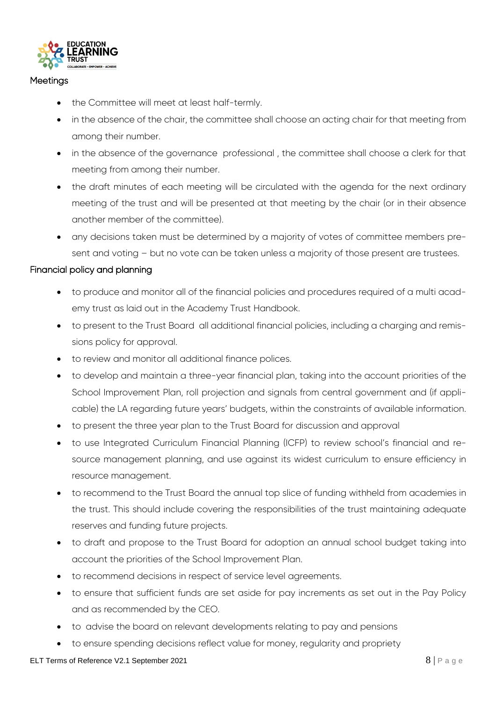

## **Meetings**

- the Committee will meet at least half-termly.
- in the absence of the chair, the committee shall choose an acting chair for that meeting from among their number.
- in the absence of the governance professional , the committee shall choose a clerk for that meeting from among their number.
- the draft minutes of each meeting will be circulated with the agenda for the next ordinary meeting of the trust and will be presented at that meeting by the chair (or in their absence another member of the committee).
- any decisions taken must be determined by a majority of votes of committee members present and voting – but no vote can be taken unless a majority of those present are trustees.

## Financial policy and planning

- to produce and monitor all of the financial policies and procedures required of a multi academy trust as laid out in the Academy Trust Handbook.
- to present to the Trust Board all additional financial policies, including a charging and remissions policy for approval.
- to review and monitor all additional finance polices.
- to develop and maintain a three-year financial plan, taking into the account priorities of the School Improvement Plan, roll projection and signals from central government and (if applicable) the LA regarding future years' budgets, within the constraints of available information.
- to present the three year plan to the Trust Board for discussion and approval
- to use Integrated Curriculum Financial Planning (ICFP) to review school's financial and resource management planning, and use against its widest curriculum to ensure efficiency in resource management.
- to recommend to the Trust Board the annual top slice of funding withheld from academies in the trust. This should include covering the responsibilities of the trust maintaining adequate reserves and funding future projects.
- to draft and propose to the Trust Board for adoption an annual school budget taking into account the priorities of the School Improvement Plan.
- to recommend decisions in respect of service level agreements.
- to ensure that sufficient funds are set aside for pay increments as set out in the Pay Policy and as recommended by the CEO.
- to advise the board on relevant developments relating to pay and pensions
- to ensure spending decisions reflect value for money, regularity and propriety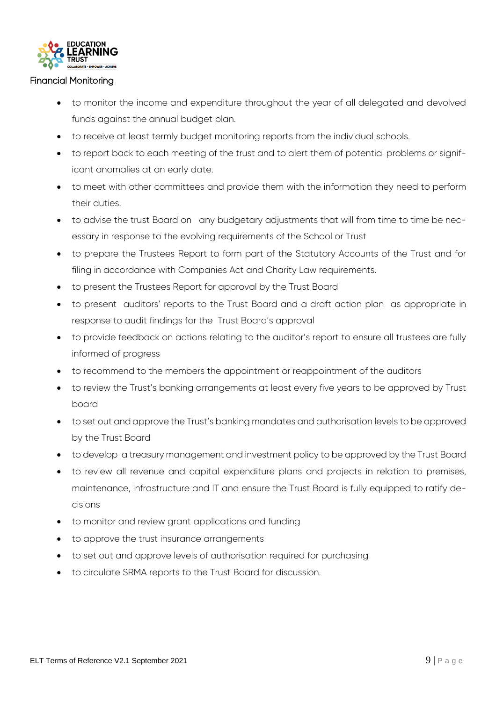

#### Financial Monitoring

- to monitor the income and expenditure throughout the year of all delegated and devolved funds against the annual budget plan.
- to receive at least termly budget monitoring reports from the individual schools.
- to report back to each meeting of the trust and to alert them of potential problems or significant anomalies at an early date.
- to meet with other committees and provide them with the information they need to perform their duties.
- to advise the trust Board on any budgetary adjustments that will from time to time be necessary in response to the evolving requirements of the School or Trust
- to prepare the Trustees Report to form part of the Statutory Accounts of the Trust and for filing in accordance with Companies Act and Charity Law requirements.
- to present the Trustees Report for approval by the Trust Board
- to present auditors' reports to the Trust Board and a draft action plan as appropriate in response to audit findings for the Trust Board's approval
- to provide feedback on actions relating to the auditor's report to ensure all trustees are fully informed of progress
- to recommend to the members the appointment or reappointment of the auditors
- to review the Trust's banking arrangements at least every five years to be approved by Trust board
- to set out and approve the Trust's banking mandates and authorisation levels to be approved by the Trust Board
- to develop a treasury management and investment policy to be approved by the Trust Board
- to review all revenue and capital expenditure plans and projects in relation to premises, maintenance, infrastructure and IT and ensure the Trust Board is fully equipped to ratify decisions
- to monitor and review grant applications and funding
- to approve the trust insurance arrangements
- to set out and approve levels of authorisation required for purchasing
- to circulate SRMA reports to the Trust Board for discussion.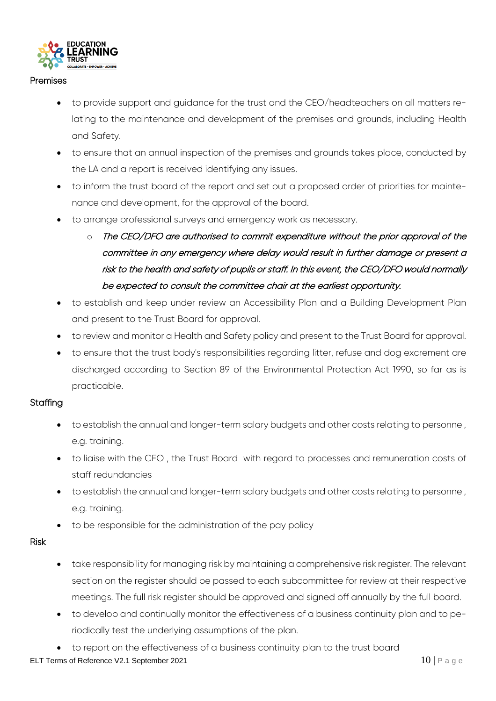

#### Premises

- to provide support and guidance for the trust and the CEO/headteachers on all matters relating to the maintenance and development of the premises and grounds, including Health and Safety.
- to ensure that an annual inspection of the premises and grounds takes place, conducted by the LA and a report is received identifying any issues.
- to inform the trust board of the report and set out a proposed order of priorities for maintenance and development, for the approval of the board.
- to arrange professional surveys and emergency work as necessary.
	- $\circ$  The CEO/DFO are authorised to commit expenditure without the prior approval of the committee in any emergency where delay would result in further damage or present a risk to the health and safety of pupils or staff. In this event, the CEO/DFO would normally be expected to consult the committee chair at the earliest opportunity.
- to establish and keep under review an Accessibility Plan and a Building Development Plan and present to the Trust Board for approval.
- to review and monitor a Health and Safety policy and present to the Trust Board for approval.
- to ensure that the trust body's responsibilities regarding litter, refuse and dog excrement are discharged according to Section 89 of the Environmental Protection Act 1990, so far as is practicable.

## **Staffing**

- to establish the annual and longer-term salary budgets and other costs relating to personnel, e.g. training.
- to liaise with the CEO , the Trust Board with regard to processes and remuneration costs of staff redundancies
- to establish the annual and longer-term salary budgets and other costs relating to personnel, e.g. training.
- to be responsible for the administration of the pay policy

## Risk

- take responsibility for managing risk by maintaining a comprehensive risk register. The relevant section on the register should be passed to each subcommittee for review at their respective meetings. The full risk register should be approved and signed off annually by the full board.
- to develop and continually monitor the effectiveness of a business continuity plan and to periodically test the underlying assumptions of the plan.
- to report on the effectiveness of a business continuity plan to the trust board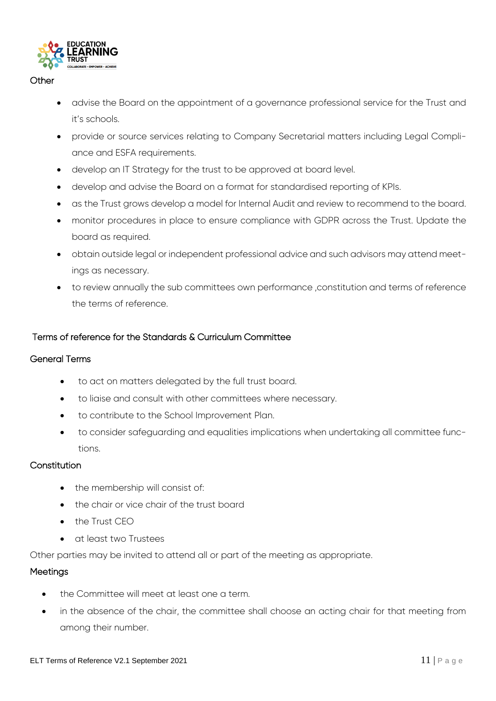

## **Other**

- advise the Board on the appointment of a governance professional service for the Trust and it's schools.
- provide or source services relating to Company Secretarial matters including Legal Compliance and ESFA requirements.
- develop an IT Strategy for the trust to be approved at board level.
- develop and advise the Board on a format for standardised reporting of KPIs.
- as the Trust grows develop a model for Internal Audit and review to recommend to the board.
- monitor procedures in place to ensure compliance with GDPR across the Trust. Update the board as required.
- obtain outside legal or independent professional advice and such advisors may attend meetings as necessary.
- to review annually the sub committees own performance ,constitution and terms of reference the terms of reference.

## Terms of reference for the Standards & Curriculum Committee

## General Terms

- to act on matters delegated by the full trust board.
- to liaise and consult with other committees where necessary.
- to contribute to the School Improvement Plan.
- to consider safeguarding and equalities implications when undertaking all committee functions.

## **Constitution**

- the membership will consist of:
- the chair or vice chair of the trust board
- the Trust CEO
- at least two Trustees

Other parties may be invited to attend all or part of the meeting as appropriate.

#### Meetings

- the Committee will meet at least one a term.
- in the absence of the chair, the committee shall choose an acting chair for that meeting from among their number.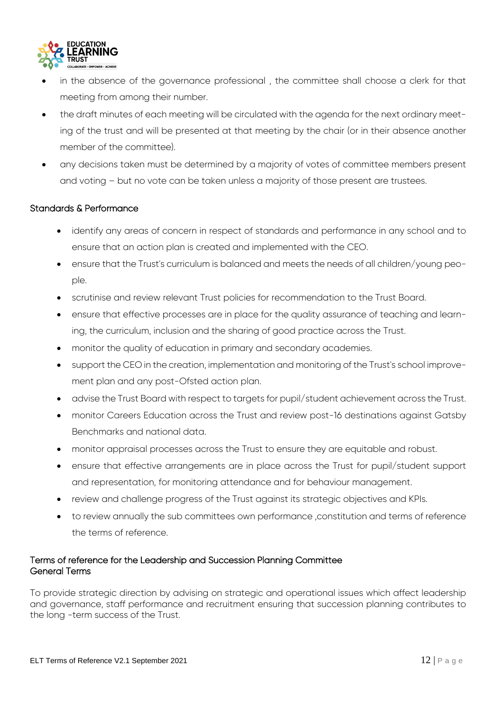

- in the absence of the governance professional , the committee shall choose a clerk for that meeting from among their number.
- the draft minutes of each meeting will be circulated with the agenda for the next ordinary meeting of the trust and will be presented at that meeting by the chair (or in their absence another member of the committee).
- any decisions taken must be determined by a majority of votes of committee members present and voting – but no vote can be taken unless a majority of those present are trustees.

## Standards & Performance

- identify any areas of concern in respect of standards and performance in any school and to ensure that an action plan is created and implemented with the CEO.
- ensure that the Trust's curriculum is balanced and meets the needs of all children/young people.
- scrutinise and review relevant Trust policies for recommendation to the Trust Board.
- ensure that effective processes are in place for the quality assurance of teaching and learning, the curriculum, inclusion and the sharing of good practice across the Trust.
- monitor the quality of education in primary and secondary academies.
- support the CEO in the creation, implementation and monitoring of the Trust's school improvement plan and any post-Ofsted action plan.
- advise the Trust Board with respect to targets for pupil/student achievement across the Trust.
- monitor Careers Education across the Trust and review post-16 destinations against Gatsby Benchmarks and national data.
- monitor appraisal processes across the Trust to ensure they are equitable and robust.
- ensure that effective arrangements are in place across the Trust for pupil/student support and representation, for monitoring attendance and for behaviour management.
- review and challenge progress of the Trust against its strategic objectives and KPIs.
- to review annually the sub committees own performance ,constitution and terms of reference the terms of reference.

## Terms of reference for the Leadership and Succession Planning Committee General Terms

To provide strategic direction by advising on strategic and operational issues which affect leadership and governance, staff performance and recruitment ensuring that succession planning contributes to the long -term success of the Trust.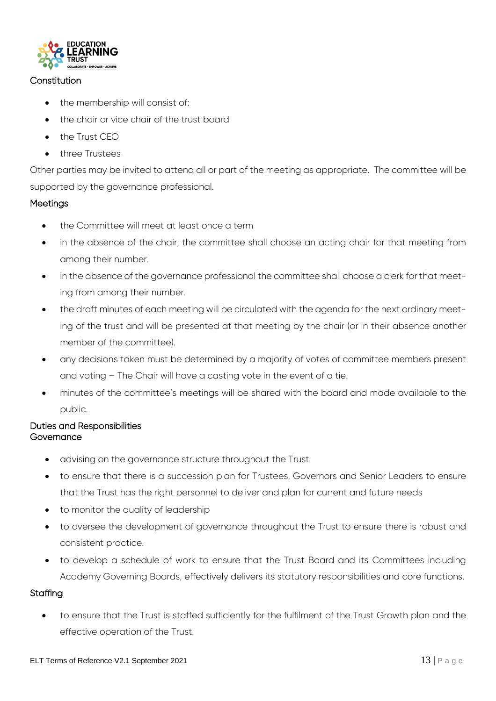

## **Constitution**

- the membership will consist of:
- the chair or vice chair of the trust board
- $\bullet$  the Trust CFO
- three Trustees

Other parties may be invited to attend all or part of the meeting as appropriate. The committee will be supported by the governance professional.

## Meetings

- the Committee will meet at least once a term
- in the absence of the chair, the committee shall choose an acting chair for that meeting from among their number.
- in the absence of the governance professional the committee shall choose a clerk for that meeting from among their number.
- the draft minutes of each meeting will be circulated with the agenda for the next ordinary meeting of the trust and will be presented at that meeting by the chair (or in their absence another member of the committee).
- any decisions taken must be determined by a majority of votes of committee members present and voting – The Chair will have a casting vote in the event of a tie.
- minutes of the committee's meetings will be shared with the board and made available to the public.

## Duties and Responsibilities **Governance**

- advising on the governance structure throughout the Trust
- to ensure that there is a succession plan for Trustees, Governors and Senior Leaders to ensure that the Trust has the right personnel to deliver and plan for current and future needs
- to monitor the quality of leadership
- to oversee the development of governance throughout the Trust to ensure there is robust and consistent practice.
- to develop a schedule of work to ensure that the Trust Board and its Committees including Academy Governing Boards, effectively delivers its statutory responsibilities and core functions.

## **Staffing**

 to ensure that the Trust is staffed sufficiently for the fulfilment of the Trust Growth plan and the effective operation of the Trust.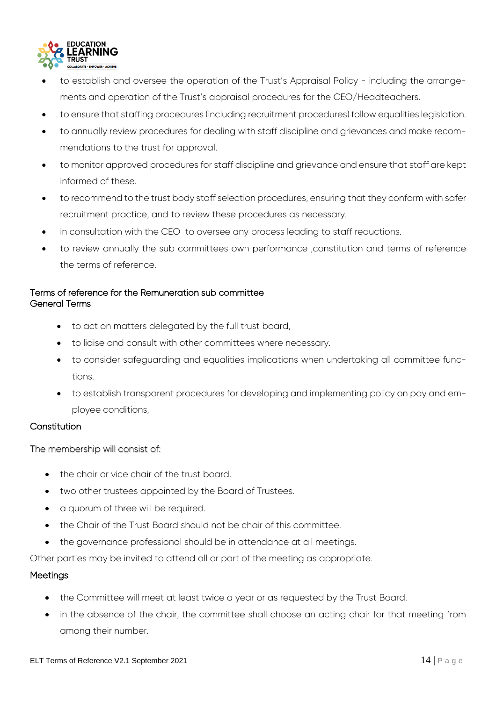

- to establish and oversee the operation of the Trust's Appraisal Policy including the arrangements and operation of the Trust's appraisal procedures for the CEO/Headteachers.
- to ensure that staffing procedures (including recruitment procedures) follow equalities legislation.
- to annually review procedures for dealing with staff discipline and grievances and make recommendations to the trust for approval.
- to monitor approved procedures for staff discipline and grievance and ensure that staff are kept informed of these.
- to recommend to the trust body staff selection procedures, ensuring that they conform with safer recruitment practice, and to review these procedures as necessary.
- in consultation with the CEO to oversee any process leading to staff reductions.
- to review annually the sub committees own performance ,constitution and terms of reference the terms of reference.

## Terms of reference for the Remuneration sub committee General Terms

- to act on matters delegated by the full trust board,
- to liaise and consult with other committees where necessary.
- to consider safeguarding and equalities implications when undertaking all committee functions.
- to establish transparent procedures for developing and implementing policy on pay and employee conditions,

#### Constitution

The membership will consist of:

- the chair or vice chair of the trust board.
- two other trustees appointed by the Board of Trustees.
- a quorum of three will be required.
- the Chair of the Trust Board should not be chair of this committee.
- the governance professional should be in attendance at all meetings.

Other parties may be invited to attend all or part of the meeting as appropriate.

#### **Meetings**

- the Committee will meet at least twice a year or as requested by the Trust Board.
- in the absence of the chair, the committee shall choose an acting chair for that meeting from among their number.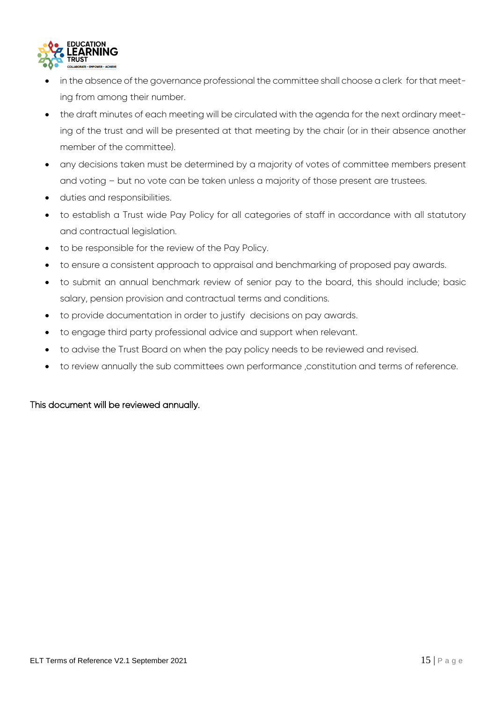

- in the absence of the governance professional the committee shall choose a clerk for that meeting from among their number.
- the draft minutes of each meeting will be circulated with the agenda for the next ordinary meeting of the trust and will be presented at that meeting by the chair (or in their absence another member of the committee).
- any decisions taken must be determined by a majority of votes of committee members present and voting – but no vote can be taken unless a majority of those present are trustees.
- duties and responsibilities.
- to establish a Trust wide Pay Policy for all categories of staff in accordance with all statutory and contractual legislation.
- to be responsible for the review of the Pay Policy.
- to ensure a consistent approach to appraisal and benchmarking of proposed pay awards.
- to submit an annual benchmark review of senior pay to the board, this should include; basic salary, pension provision and contractual terms and conditions.
- to provide documentation in order to justify decisions on pay awards.
- to engage third party professional advice and support when relevant.
- to advise the Trust Board on when the pay policy needs to be reviewed and revised.
- to review annually the sub committees own performance ,constitution and terms of reference.

## This document will be reviewed annually.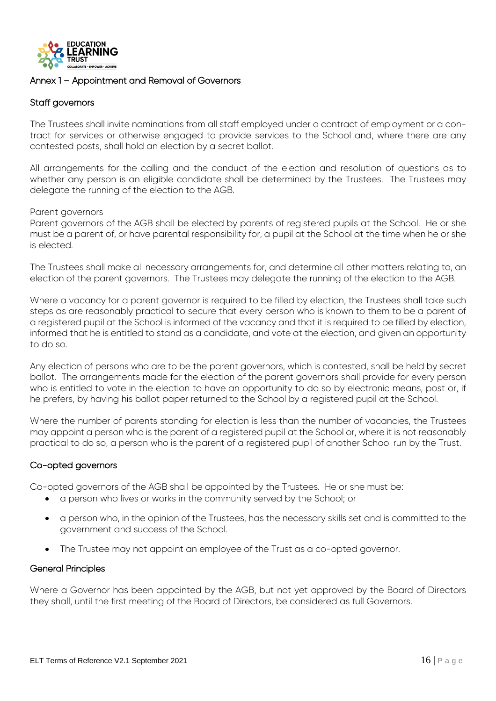

#### Annex 1 – Appointment and Removal of Governors

#### Staff governors

The Trustees shall invite nominations from all staff employed under a contract of employment or a contract for services or otherwise engaged to provide services to the School and, where there are any contested posts, shall hold an election by a secret ballot.

All arrangements for the calling and the conduct of the election and resolution of questions as to whether any person is an eligible candidate shall be determined by the Trustees. The Trustees may delegate the running of the election to the AGB.

#### Parent governors

Parent governors of the AGB shall be elected by parents of registered pupils at the School. He or she must be a parent of, or have parental responsibility for, a pupil at the School at the time when he or she is elected.

The Trustees shall make all necessary arrangements for, and determine all other matters relating to, an election of the parent governors. The Trustees may delegate the running of the election to the AGB.

Where a vacancy for a parent governor is required to be filled by election, the Trustees shall take such steps as are reasonably practical to secure that every person who is known to them to be a parent of a registered pupil at the School is informed of the vacancy and that it is required to be filled by election, informed that he is entitled to stand as a candidate, and vote at the election, and given an opportunity to do so.

Any election of persons who are to be the parent governors, which is contested, shall be held by secret ballot. The arrangements made for the election of the parent governors shall provide for every person who is entitled to vote in the election to have an opportunity to do so by electronic means, post or, if he prefers, by having his ballot paper returned to the School by a registered pupil at the School.

Where the number of parents standing for election is less than the number of vacancies, the Trustees may appoint a person who is the parent of a registered pupil at the School or, where it is not reasonably practical to do so, a person who is the parent of a registered pupil of another School run by the Trust.

## Co-opted governors

Co-opted governors of the AGB shall be appointed by the Trustees. He or she must be:

- a person who lives or works in the community served by the School; or
- a person who, in the opinion of the Trustees, has the necessary skills set and is committed to the government and success of the School.
- The Trustee may not appoint an employee of the Trust as a co-opted governor.

#### General Principles

Where a Governor has been appointed by the AGB, but not yet approved by the Board of Directors they shall, until the first meeting of the Board of Directors, be considered as full Governors.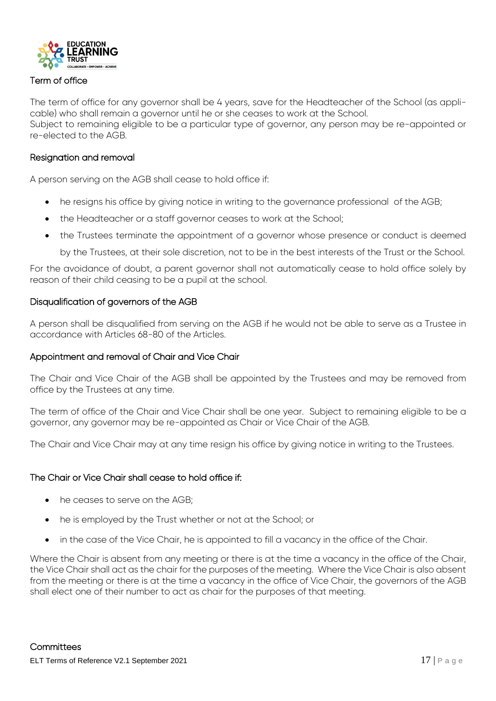

## Term of office

The term of office for any governor shall be 4 years, save for the Headteacher of the School (as applicable) who shall remain a governor until he or she ceases to work at the School. Subject to remaining eligible to be a particular type of governor, any person may be re-appointed or re-elected to the AGB.

## Resignation and removal

A person serving on the AGB shall cease to hold office if:

- he resigns his office by giving notice in writing to the governance professional of the AGB;
- the Headteacher or a staff governor ceases to work at the School;
- the Trustees terminate the appointment of a governor whose presence or conduct is deemed by the Trustees, at their sole discretion, not to be in the best interests of the Trust or the School.

For the avoidance of doubt, a parent governor shall not automatically cease to hold office solely by reason of their child ceasing to be a pupil at the school.

## Disqualification of governors of the AGB

A person shall be disqualified from serving on the AGB if he would not be able to serve as a Trustee in accordance with Articles 68-80 of the Articles.

#### Appointment and removal of Chair and Vice Chair

The Chair and Vice Chair of the AGB shall be appointed by the Trustees and may be removed from office by the Trustees at any time.

The term of office of the Chair and Vice Chair shall be one year. Subject to remaining eligible to be a governor, any governor may be re-appointed as Chair or Vice Chair of the AGB.

The Chair and Vice Chair may at any time resign his office by giving notice in writing to the Trustees.

## The Chair or Vice Chair shall cease to hold office if:

- he ceases to serve on the AGB;
- he is employed by the Trust whether or not at the School; or
- in the case of the Vice Chair, he is appointed to fill a vacancy in the office of the Chair.

Where the Chair is absent from any meeting or there is at the time a vacancy in the office of the Chair, the Vice Chair shall act as the chair for the purposes of the meeting. Where the Vice Chair is also absent from the meeting or there is at the time a vacancy in the office of Vice Chair, the governors of the AGB shall elect one of their number to act as chair for the purposes of that meeting.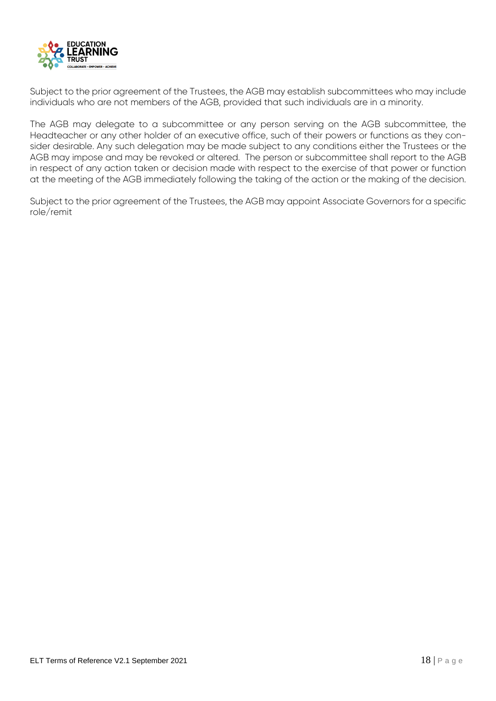

Subject to the prior agreement of the Trustees, the AGB may establish subcommittees who may include individuals who are not members of the AGB, provided that such individuals are in a minority.

The AGB may delegate to a subcommittee or any person serving on the AGB subcommittee, the Headteacher or any other holder of an executive office, such of their powers or functions as they consider desirable. Any such delegation may be made subject to any conditions either the Trustees or the AGB may impose and may be revoked or altered. The person or subcommittee shall report to the AGB in respect of any action taken or decision made with respect to the exercise of that power or function at the meeting of the AGB immediately following the taking of the action or the making of the decision.

Subject to the prior agreement of the Trustees, the AGB may appoint Associate Governors for a specific role/remit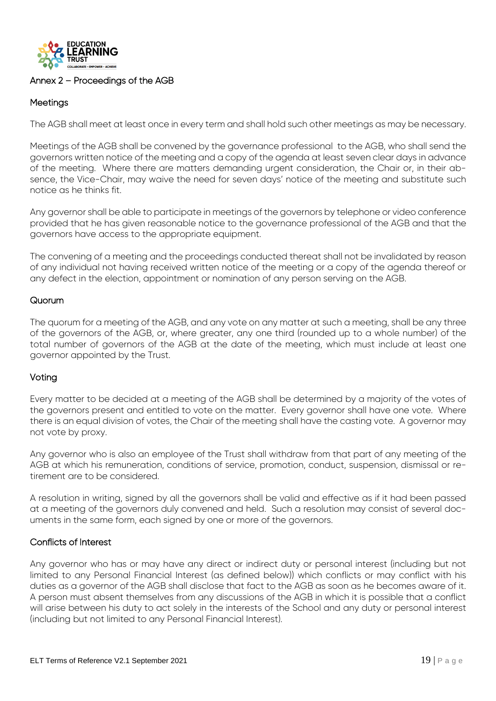

## Annex 2 – Proceedings of the AGB

## **Meetings**

The AGB shall meet at least once in every term and shall hold such other meetings as may be necessary.

Meetings of the AGB shall be convened by the governance professional to the AGB, who shall send the governors written notice of the meeting and a copy of the agenda at least seven clear days in advance of the meeting. Where there are matters demanding urgent consideration, the Chair or, in their absence, the Vice-Chair, may waive the need for seven days' notice of the meeting and substitute such notice as he thinks fit.

Any governor shall be able to participate in meetings of the governors by telephone or video conference provided that he has given reasonable notice to the governance professional of the AGB and that the governors have access to the appropriate equipment.

The convening of a meeting and the proceedings conducted thereat shall not be invalidated by reason of any individual not having received written notice of the meeting or a copy of the agenda thereof or any defect in the election, appointment or nomination of any person serving on the AGB.

## **Quorum**

The quorum for a meeting of the AGB, and any vote on any matter at such a meeting, shall be any three of the governors of the AGB, or, where greater, any one third (rounded up to a whole number) of the total number of governors of the AGB at the date of the meeting, which must include at least one governor appointed by the Trust.

#### Voting

Every matter to be decided at a meeting of the AGB shall be determined by a majority of the votes of the governors present and entitled to vote on the matter. Every governor shall have one vote. Where there is an equal division of votes, the Chair of the meeting shall have the casting vote. A governor may not vote by proxy.

Any governor who is also an employee of the Trust shall withdraw from that part of any meeting of the AGB at which his remuneration, conditions of service, promotion, conduct, suspension, dismissal or retirement are to be considered.

A resolution in writing, signed by all the governors shall be valid and effective as if it had been passed at a meeting of the governors duly convened and held. Such a resolution may consist of several documents in the same form, each signed by one or more of the governors.

#### Conflicts of Interest

Any governor who has or may have any direct or indirect duty or personal interest (including but not limited to any Personal Financial Interest (as defined below)) which conflicts or may conflict with his duties as a governor of the AGB shall disclose that fact to the AGB as soon as he becomes aware of it. A person must absent themselves from any discussions of the AGB in which it is possible that a conflict will arise between his duty to act solely in the interests of the School and any duty or personal interest (including but not limited to any Personal Financial Interest).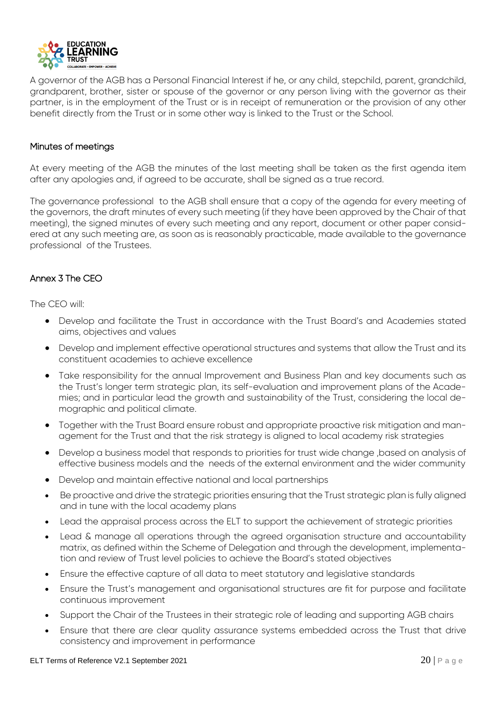

A governor of the AGB has a Personal Financial Interest if he, or any child, stepchild, parent, grandchild, grandparent, brother, sister or spouse of the governor or any person living with the governor as their partner, is in the employment of the Trust or is in receipt of remuneration or the provision of any other benefit directly from the Trust or in some other way is linked to the Trust or the School.

#### Minutes of meetings

At every meeting of the AGB the minutes of the last meeting shall be taken as the first agenda item after any apologies and, if agreed to be accurate, shall be signed as a true record.

The governance professional to the AGB shall ensure that a copy of the agenda for every meeting of the governors, the draft minutes of every such meeting (if they have been approved by the Chair of that meeting), the signed minutes of every such meeting and any report, document or other paper considered at any such meeting are, as soon as is reasonably practicable, made available to the governance professional of the Trustees.

## Annex 3 The CEO

The CEO will:

- Develop and facilitate the Trust in accordance with the Trust Board's and Academies stated aims, objectives and values
- Develop and implement effective operational structures and systems that allow the Trust and its constituent academies to achieve excellence
- Take responsibility for the annual Improvement and Business Plan and key documents such as the Trust's longer term strategic plan, its self-evaluation and improvement plans of the Academies; and in particular lead the growth and sustainability of the Trust, considering the local demographic and political climate.
- Together with the Trust Board ensure robust and appropriate proactive risk mitigation and management for the Trust and that the risk strategy is aligned to local academy risk strategies
- Develop a business model that responds to priorities for trust wide change ,based on analysis of effective business models and the needs of the external environment and the wider community
- Develop and maintain effective national and local partnerships
- Be proactive and drive the strategic priorities ensuring that the Trust strategic plan is fully aligned and in tune with the local academy plans
- Lead the appraisal process across the ELT to support the achievement of strategic priorities
- Lead & manage all operations through the agreed organisation structure and accountability matrix, as defined within the Scheme of Delegation and through the development, implementation and review of Trust level policies to achieve the Board's stated objectives
- Ensure the effective capture of all data to meet statutory and legislative standards
- Ensure the Trust's management and organisational structures are fit for purpose and facilitate continuous improvement
- Support the Chair of the Trustees in their strategic role of leading and supporting AGB chairs
- Ensure that there are clear quality assurance systems embedded across the Trust that drive consistency and improvement in performance